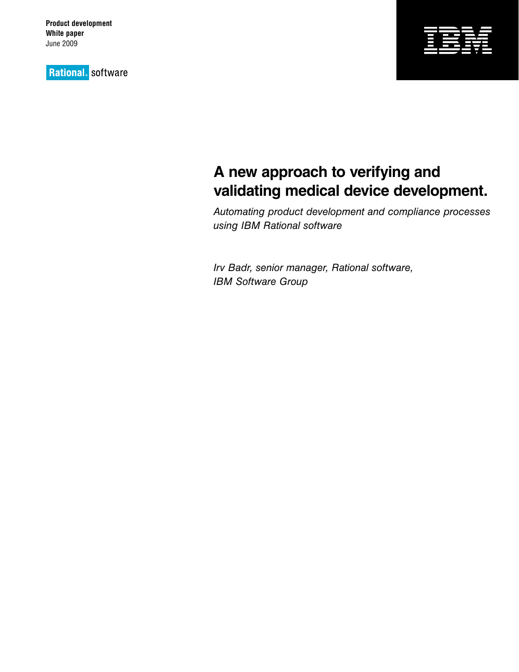**Product development White paper** June 2009

**Rational** software



# **A new approach to verifying and validating medical device development.**

*Automating product development and compliance processes using IBM Rational software*

*Irv Badr, senior manager, Rational software, IBM Software Group*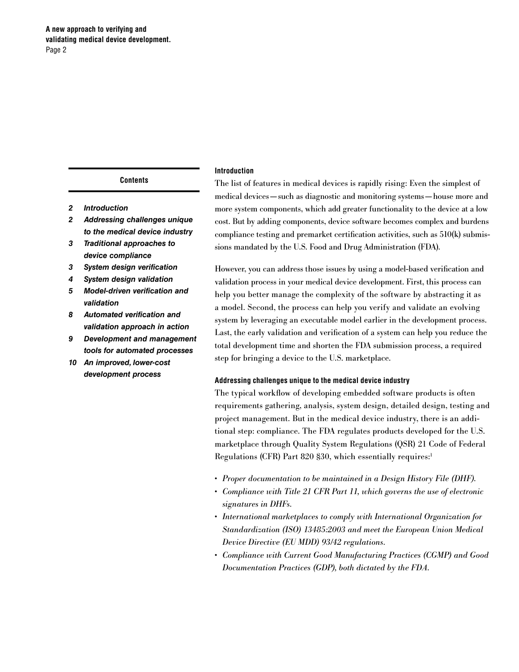**A new approach to verifying and validating medical device development.** Page 2

#### **Contents**

- *2 Introduction*
- *2 Addressing challenges unique to the medical device industry*
- *3 Traditional approaches to device compliance*
- *3 System design verification*
- *4 System design validation*
- *5 Model-driven verification and validation*
- *8 Automated verification and validation approach in action*
- *9 Development and management tools for automated processes*
- *10 An improved, lower-cost development process*

## **Introduction**

The list of features in medical devices is rapidly rising: Even the simplest of medical devices—such as diagnostic and monitoring systems—house more and more system components, which add greater functionality to the device at a low cost. But by adding components, device software becomes complex and burdens compliance testing and premarket certification activities, such as 510(k) submissions mandated by the U.S. Food and Drug Administration (FDA).

However, you can address those issues by using a model-based verification and validation process in your medical device development. First, this process can help you better manage the complexity of the software by abstracting it as a model. Second, the process can help you verify and validate an evolving system by leveraging an executable model earlier in the development process. Last, the early validation and verification of a system can help you reduce the total development time and shorten the FDA submission process, a required step for bringing a device to the U.S. marketplace.

## **Addressing challenges unique to the medical device industry**

The typical workflow of developing embedded software products is often requirements gathering, analysis, system design, detailed design, testing and project management. But in the medical device industry, there is an additional step: compliance. The FDA regulates products developed for the U.S. marketplace through Quality System Regulations (QSR) 21 Code of Federal Regulations (CFR) Part 820 §30, which essentially requires:1

- • *Proper documentation to be maintained in a Design History File (DHF).*
- • *Compliance with Title 21 CFR Part 11, which governs the use of electronic signatures in DHFs.*
- • *International marketplaces to comply with International Organization for Standardization (ISO) 13485:2003 and meet the European Union Medical Device Directive (EU MDD) 93/42 regulations.*
- • *Compliance with Current Good Manufacturing Practices (CGMP) and Good Documentation Practices (GDP), both dictated by the FDA.*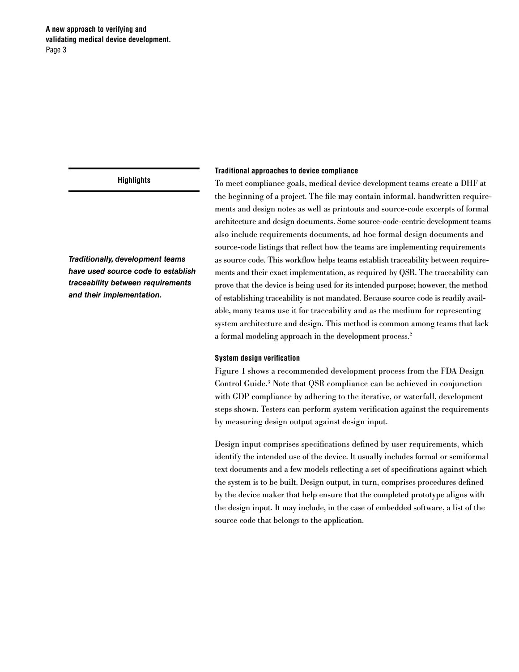*Traditionally, development teams have used source code to establish traceability between requirements and their implementation.*

#### **Traditional approaches to device compliance**

To meet compliance goals, medical device development teams create a DHF at the beginning of a project. The file may contain informal, handwritten requirements and design notes as well as printouts and source-code excerpts of formal architecture and design documents. Some source-code-centric development teams also include requirements documents, ad hoc formal design documents and source-code listings that reflect how the teams are implementing requirements as source code. This workflow helps teams establish traceability between requirements and their exact implementation, as required by QSR. The traceability can prove that the device is being used for its intended purpose; however, the method of establishing traceability is not mandated. Because source code is readily available, many teams use it for traceability and as the medium for representing system architecture and design. This method is common among teams that lack a formal modeling approach in the development process.2

#### **System design verification**

Figure 1 shows a recommended development process from the FDA Design Control Guide.3 Note that QSR compliance can be achieved in conjunction with GDP compliance by adhering to the iterative, or waterfall, development steps shown. Testers can perform system verification against the requirements by measuring design output against design input.

Design input comprises specifications defined by user requirements, which identify the intended use of the device. It usually includes formal or semiformal text documents and a few models reflecting a set of specifications against which the system is to be built. Design output, in turn, comprises procedures defined by the device maker that help ensure that the completed prototype aligns with the design input. It may include, in the case of embedded software, a list of the source code that belongs to the application.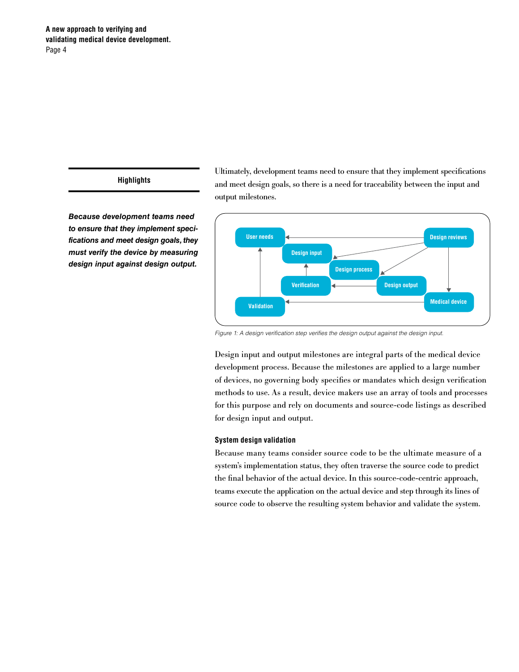*Because development teams need to ensure that they implement specifications and meet design goals, they must verify the device by measuring design input against design output.*

Ultimately, development teams need to ensure that they implement specifications and meet design goals, so there is a need for traceability between the input and output milestones.



*Figure 1: A design verification step verifies the design output against the design input.*

Design input and output milestones are integral parts of the medical device development process. Because the milestones are applied to a large number of devices, no governing body specifies or mandates which design verification methods to use. As a result, device makers use an array of tools and processes for this purpose and rely on documents and source-code listings as described for design input and output.

### **System design validation**

Because many teams consider source code to be the ultimate measure of a system's implementation status, they often traverse the source code to predict the final behavior of the actual device. In this source-code-centric approach, teams execute the application on the actual device and step through its lines of source code to observe the resulting system behavior and validate the system.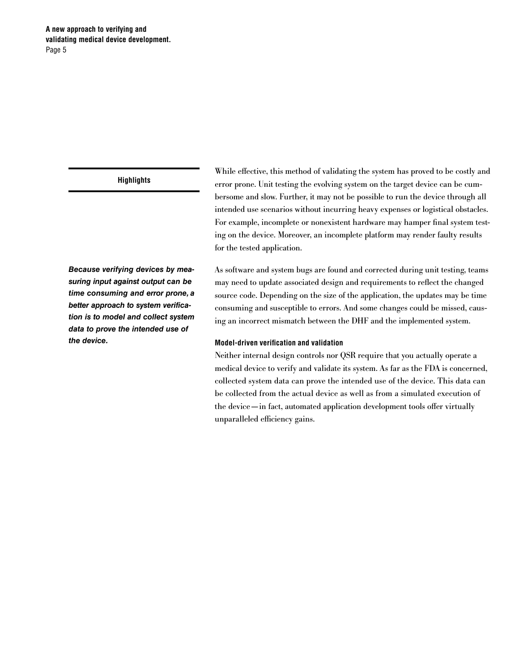# **A new approach to verifying and validating medical device development.** Page 5

# **Highlights**

*Because verifying devices by measuring input against output can be time consuming and error prone, a better approach to system verification is to model and collect system data to prove the intended use of the device.*

While effective, this method of validating the system has proved to be costly and error prone. Unit testing the evolving system on the target device can be cumbersome and slow. Further, it may not be possible to run the device through all intended use scenarios without incurring heavy expenses or logistical obstacles. For example, incomplete or nonexistent hardware may hamper final system testing on the device. Moreover, an incomplete platform may render faulty results for the tested application.

As software and system bugs are found and corrected during unit testing, teams may need to update associated design and requirements to reflect the changed source code. Depending on the size of the application, the updates may be time consuming and susceptible to errors. And some changes could be missed, causing an incorrect mismatch between the DHF and the implemented system.

## **Model-driven verification and validation**

Neither internal design controls nor QSR require that you actually operate a medical device to verify and validate its system. As far as the FDA is concerned, collected system data can prove the intended use of the device. This data can be collected from the actual device as well as from a simulated execution of the device—in fact, automated application development tools offer virtually unparalleled efficiency gains.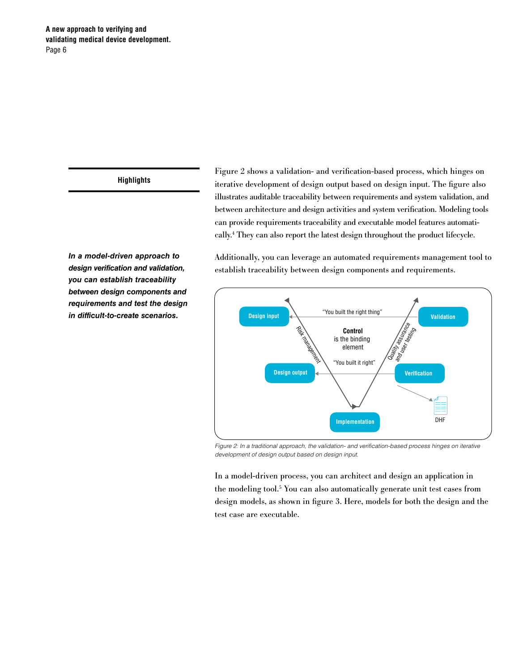*In a model-driven approach to design verification and validation, you can establish traceability between design components and requirements and test the design in difficult-to-create scenarios.*

Figure 2 shows a validation- and verification-based process, which hinges on iterative development of design output based on design input. The figure also illustrates auditable traceability between requirements and system validation, and between architecture and design activities and system verification. Modeling tools can provide requirements traceability and executable model features automatically.4 They can also report the latest design throughout the product lifecycle.

Additionally, you can leverage an automated requirements management tool to establish traceability between design components and requirements.



*Figure 2: In a traditional approach, the validation- and verification-based process hinges on iterative development of design output based on design input.*

In a model-driven process, you can architect and design an application in the modeling tool.5 You can also automatically generate unit test cases from design models, as shown in figure 3. Here, models for both the design and the test case are executable.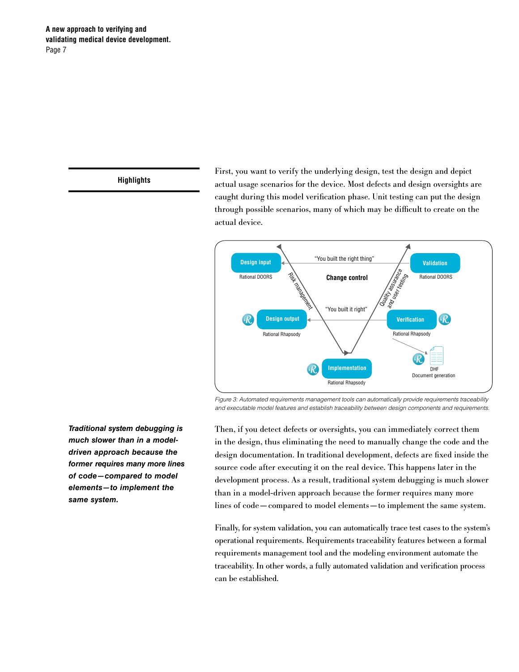First, you want to verify the underlying design, test the design and depict actual usage scenarios for the device. Most defects and design oversights are caught during this model verification phase. Unit testing can put the design through possible scenarios, many of which may be difficult to create on the actual device.



*Figure 3: Automated requirements management tools can automatically provide requirements traceability and executable model features and establish traceability between design components and requirements.*

Then, if you detect defects or oversights, you can immediately correct them in the design, thus eliminating the need to manually change the code and the design documentation. In traditional development, defects are fixed inside the source code after executing it on the real device. This happens later in the development process. As a result, traditional system debugging is much slower than in a model-driven approach because the former requires many more lines of code—compared to model elements—to implement the same system.

Finally, for system validation, you can automatically trace test cases to the system's operational requirements. Requirements traceability features between a formal requirements management tool and the modeling environment automate the traceability. In other words, a fully automated validation and verification process can be established.

*Traditional system debugging is much slower than in a modeldriven approach because the former requires many more lines of code—compared to model elements—to implement the same system.*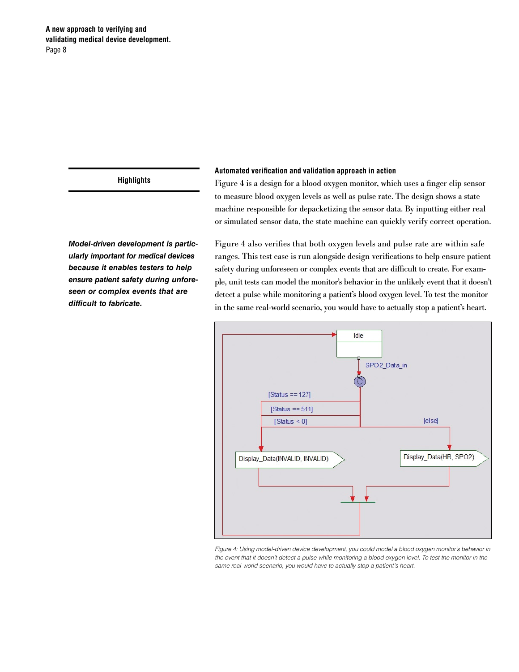# **Automated verification and validation approach in action**

Figure 4 is a design for a blood oxygen monitor, which uses a finger clip sensor to measure blood oxygen levels as well as pulse rate. The design shows a state machine responsible for depacketizing the sensor data. By inputting either real or simulated sensor data, the state machine can quickly verify correct operation.

Figure 4 also verifies that both oxygen levels and pulse rate are within safe ranges. This test case is run alongside design verifications to help ensure patient safety during unforeseen or complex events that are difficult to create. For example, unit tests can model the monitor's behavior in the unlikely event that it doesn't detect a pulse while monitoring a patient's blood oxygen level. To test the monitor in the same real-world scenario, you would have to actually stop a patient's heart.



*Figure 4: Using model-driven device development, you could model a blood oxygen monitor's behavior in the event that it doesn't detect a pulse while monitoring a blood oxygen level. To test the monitor in the same real-world scenario, you would have to actually stop a patient's heart.*

*Model-driven development is particularly important for medical devices because it enables testers to help ensure patient safety during unforeseen or complex events that are difficult to fabricate.*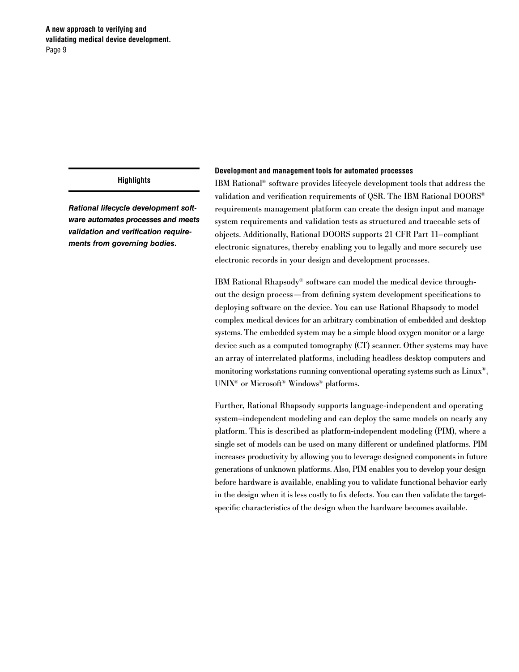*Rational lifecycle development software automates processes and meets validation and verification requirements from governing bodies.*

#### **Development and management tools for automated processes**

IBM Rational® software provides lifecycle development tools that address the validation and verification requirements of QSR. The IBM Rational DOORS® requirements management platform can create the design input and manage system requirements and validation tests as structured and traceable sets of objects. Additionally, Rational DOORS supports 21 CFR Part 11–compliant electronic signatures, thereby enabling you to legally and more securely use electronic records in your design and development processes.

IBM Rational Rhapsody® software can model the medical device throughout the design process—from defining system development specifications to deploying software on the device. You can use Rational Rhapsody to model complex medical devices for an arbitrary combination of embedded and desktop systems. The embedded system may be a simple blood oxygen monitor or a large device such as a computed tomography (CT) scanner. Other systems may have an array of interrelated platforms, including headless desktop computers and monitoring workstations running conventional operating systems such as Linux®, UNIX® or Microsoft® Windows® platforms.

Further, Rational Rhapsody supports language-independent and operating system–independent modeling and can deploy the same models on nearly any platform. This is described as platform-independent modeling (PIM), where a single set of models can be used on many different or undefined platforms. PIM increases productivity by allowing you to leverage designed components in future generations of unknown platforms. Also, PIM enables you to develop your design before hardware is available, enabling you to validate functional behavior early in the design when it is less costly to fix defects. You can then validate the targetspecific characteristics of the design when the hardware becomes available.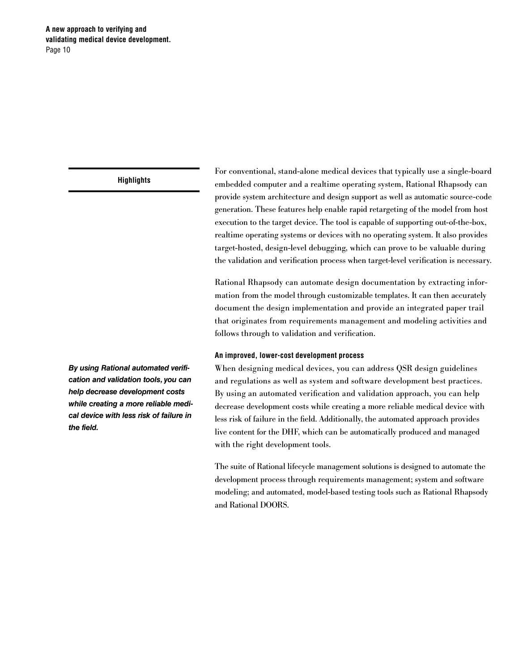For conventional, stand-alone medical devices that typically use a single-board embedded computer and a realtime operating system, Rational Rhapsody can provide system architecture and design support as well as automatic source-code generation. These features help enable rapid retargeting of the model from host execution to the target device. The tool is capable of supporting out-of-the-box, realtime operating systems or devices with no operating system. It also provides target-hosted, design-level debugging, which can prove to be valuable during the validation and verification process when target-level verification is necessary.

Rational Rhapsody can automate design documentation by extracting information from the model through customizable templates. It can then accurately document the design implementation and provide an integrated paper trail that originates from requirements management and modeling activities and follows through to validation and verification.

## **An improved, lower-cost development process**

When designing medical devices, you can address QSR design guidelines and regulations as well as system and software development best practices. By using an automated verification and validation approach, you can help decrease development costs while creating a more reliable medical device with less risk of failure in the field. Additionally, the automated approach provides live content for the DHF, which can be automatically produced and managed with the right development tools.

The suite of Rational lifecycle management solutions is designed to automate the development process through requirements management; system and software modeling; and automated, model-based testing tools such as Rational Rhapsody and Rational DOORS.

*By using Rational automated verification and validation tools, you can help decrease development costs while creating a more reliable medical device with less risk of failure in the field.*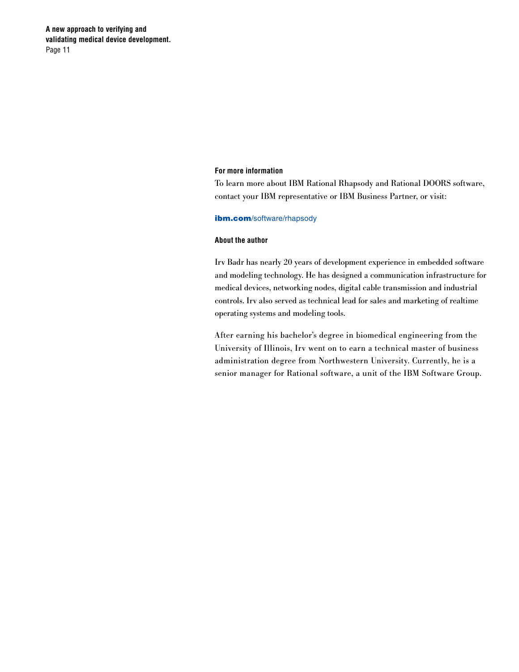**A new approach to verifying and validating medical device development.** Page 11

#### **For more information**

To learn more about IBM Rational Rhapsody and Rational DOORS software, contact your IBM representative or IBM Business Partner, or visit:

#### ibm.com[/software/rhapsody](http://ibm.com/software/rhapsody)

### **About the author**

Irv Badr has nearly 20 years of development experience in embedded software and modeling technology. He has designed a communication infrastructure for medical devices, networking nodes, digital cable transmission and industrial controls. Irv also served as technical lead for sales and marketing of realtime operating systems and modeling tools.

After earning his bachelor's degree in biomedical engineering from the University of Illinois, Irv went on to earn a technical master of business administration degree from Northwestern University. Currently, he is a senior manager for Rational software, a unit of the IBM Software Group.